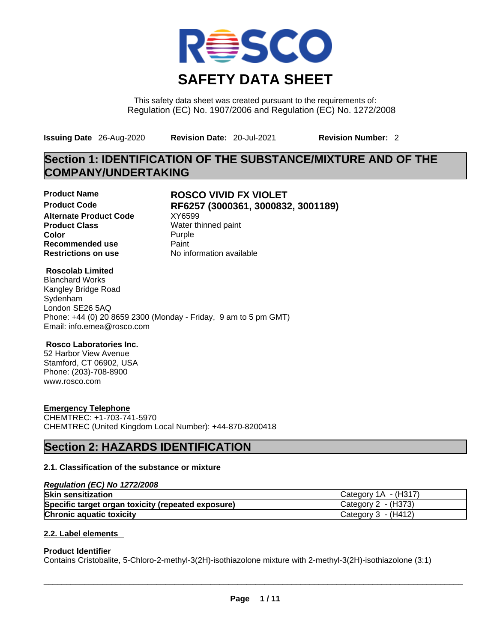

This safety data sheet was created pursuant to the requirements of: Regulation (EC) No. 1907/2006 and Regulation (EC) No. 1272/2008

**Issuing Date** 26-Aug-2020 **Revision Date:** 20-Jul-2021 **Revision Number:** 2

**Restrictions on use** No information available

## **Section 1: IDENTIFICATION OF THE SUBSTANCE/MIXTURE AND OF THE COMPANY/UNDERTAKING**

**Alternate Product Code** XY6599 **Product Class Water thinned paint Color** Purple **Recommended use Paint Paint Restrictions on use COVID-**

# **Product Name ROSCO VIVID FX VIOLET Product Code RF6257 (3000361, 3000832, 3001189)**

#### **Roscolab Limited**

Blanchard Works Kangley Bridge Road Sydenham London SE26 5AQ Phone: +44 (0) 20 8659 2300 (Monday - Friday, 9 am to 5 pm GMT) Email: info.emea@rosco.com

#### **Rosco Laboratories Inc.**

52 Harbor View Avenue Stamford, CT 06902, USA Phone: (203)-708-8900 www.rosco.com

#### **Emergency Telephone**

CHEMTREC: +1-703-741-5970 CHEMTREC (United Kingdom Local Number): +44-870-8200418

## **Section 2: HAZARDS IDENTIFICATION**

#### **2.1. Classification of the substance or mixture**

#### *Regulation (EC) No 1272/2008*

| <b>Skin sensitization</b>                          | Category $1A - (H317)$          |
|----------------------------------------------------|---------------------------------|
| Specific target organ toxicity (repeated exposure) | $\textsf{C}$ ategory 2 - (H373) |
| <b>Chronic aquatic toxicity</b>                    | Category $3 - (H412)$           |

#### **2.2. Label elements**

#### **Product Identifier**

Contains Cristobalite, 5-Chloro-2-methyl-3(2H)-isothiazolone mixture with 2-methyl-3(2H)-isothiazolone (3:1)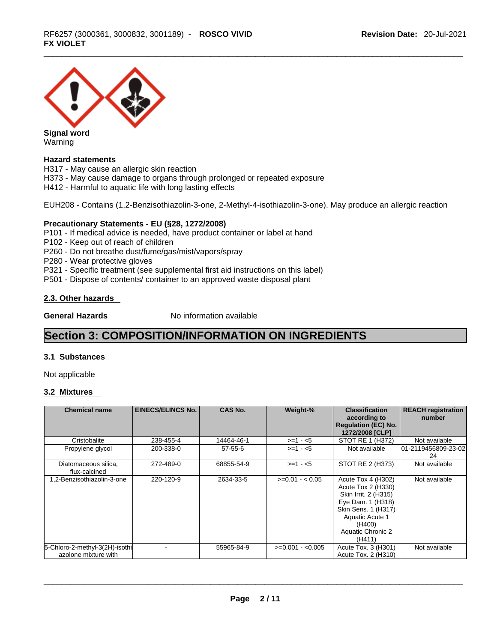

Warning

#### **Hazard statements**

H317 - May cause an allergic skin reaction

H373 - May cause damage to organs through prolonged or repeated exposure

H412 - Harmful to aquatic life with long lasting effects

EUH208 - Contains (1,2-Benzisothiazolin-3-one, 2-Methyl-4-isothiazolin-3-one). May produce an allergic reaction

#### **Precautionary Statements - EU (§28, 1272/2008)**

- P101 If medical advice is needed, have product container or label at hand
- P102 Keep out of reach of children
- P260 Do not breathe dust/fume/gas/mist/vapors/spray
- P280 Wear protective gloves
- P321 Specific treatment (see supplemental first aid instructions on this label)
- P501 Dispose of contents/ container to an approved waste disposal plant

### **2.3. Other hazards**

**General Hazards No information available** 

## **Section 3: COMPOSITION/INFORMATION ON INGREDIENTS**

#### **3.1 Substances**

Not applicable

#### **3.2 Mixtures**

| <b>Chemical name</b>                                   | <b>EINECS/ELINCS No.</b> | <b>CAS No.</b> | Weight-%          | <b>Classification</b><br>according to<br><b>Regulation (EC) No.</b><br>1272/2008 [CLP]                                                                                          | <b>REACH registration</b><br>number |
|--------------------------------------------------------|--------------------------|----------------|-------------------|---------------------------------------------------------------------------------------------------------------------------------------------------------------------------------|-------------------------------------|
| Cristobalite                                           | 238-455-4                | 14464-46-1     | $>=1 - 5$         | STOT RE 1 (H372)                                                                                                                                                                | Not available                       |
| Propylene glycol                                       | 200-338-0                | $57 - 55 - 6$  | $>=1 - 5$         | Not available                                                                                                                                                                   | 01-2119456809-23-02<br>24           |
| Diatomaceous silica,<br>flux-calcined                  | 272-489-0                | 68855-54-9     | $>=1 - 5$         | STOT RE 2 (H373)                                                                                                                                                                | Not available                       |
| 1,2-Benzisothiazolin-3-one                             | 220-120-9                | 2634-33-5      | $>=0.01 - 0.05$   | Acute Tox 4 (H302)<br>Acute Tox 2 (H330)<br>Skin Irrit. 2 (H315)<br>Eye Dam. 1 (H318)<br>Skin Sens. 1 (H317)<br>Aquatic Acute 1<br>(H400)<br><b>Aquatic Chronic 2</b><br>(H411) | Not available                       |
| 5-Chloro-2-methyl-3(2H)-isothi<br>azolone mixture with |                          | 55965-84-9     | $>=0.001 - 0.005$ | Acute Tox. 3 (H301)<br>Acute Tox. 2 (H310)                                                                                                                                      | Not available                       |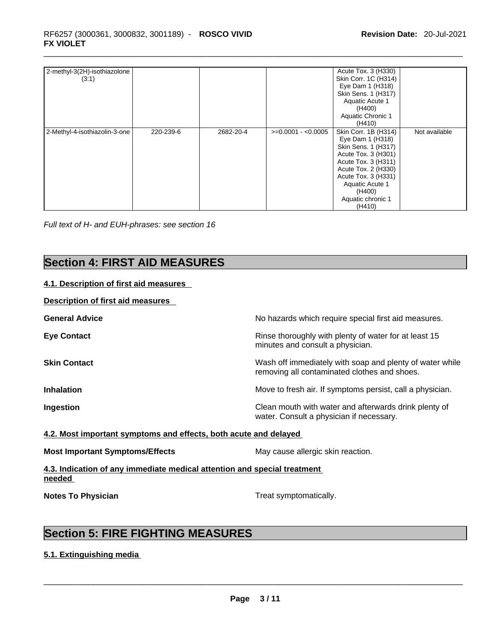| 2-methyl-3(2H)-isothiazolone<br>(3:1) |           |           |                     | Acute Tox. 3 (H330)<br>Skin Corr. 1C (H314)<br>Eye Dam 1 (H318)<br>Skin Sens. 1 (H317)<br>Aquatic Acute 1<br>(H400)<br>Aquatic Chronic 1<br>(H410)                                                                      |               |
|---------------------------------------|-----------|-----------|---------------------|-------------------------------------------------------------------------------------------------------------------------------------------------------------------------------------------------------------------------|---------------|
| 2-Methyl-4-isothiazolin-3-one         | 220-239-6 | 2682-20-4 | $>=0.0001 - 0.0005$ | Skin Corr. 1B (H314)<br>Eye Dam 1 (H318)<br>Skin Sens. 1 (H317)<br>Acute Tox. 3 (H301)<br>Acute Tox. 3 (H311)<br>Acute Tox. 2 (H330)<br>Acute Tox. 3 (H331)<br>Aquatic Acute 1<br>(H400)<br>Aquatic chronic 1<br>(H410) | Not available |

*Full text of H- and EUH-phrases: see section 16* 

## **Section 4: FIRST AID MEASURES**

### **4.1. Description of first aid measures**

#### **Description of first aid measures**

| <b>General Advice</b> | No hazards which require special first aid measures.                                                     |
|-----------------------|----------------------------------------------------------------------------------------------------------|
| <b>Eye Contact</b>    | Rinse thoroughly with plenty of water for at least 15<br>minutes and consult a physician.                |
| <b>Skin Contact</b>   | Wash off immediately with soap and plenty of water while<br>removing all contaminated clothes and shoes. |
| <b>Inhalation</b>     | Move to fresh air. If symptoms persist, call a physician.                                                |
| Ingestion             | Clean mouth with water and afterwards drink plenty of<br>water. Consult a physician if necessary.        |

#### **4.2. Most important symptoms and effects, both acute and delayed**

| <b>Most Important Symptoms/Effects</b> | May cause allergic skin reaction. |
|----------------------------------------|-----------------------------------|
|                                        |                                   |

**4.3. Indication of any immediate medical attention and special treatment needed** 

**Notes To Physician** Motes **To Physician** Treat symptomatically.

## **Section 5: FIRE FIGHTING MEASURES**

#### **5.1. Extinguishing media**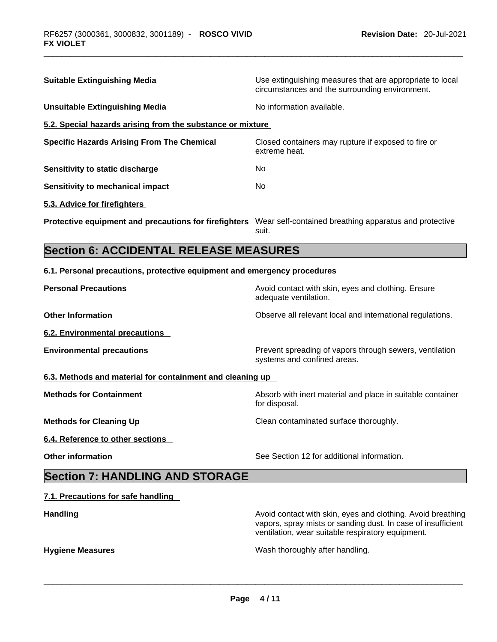| <b>Suitable Extinguishing Media</b>                                                                          | Use extinguishing measures that are appropriate to local<br>circumstances and the surrounding environment. |
|--------------------------------------------------------------------------------------------------------------|------------------------------------------------------------------------------------------------------------|
| <b>Unsuitable Extinguishing Media</b>                                                                        | No information available.                                                                                  |
| 5.2. Special hazards arising from the substance or mixture                                                   |                                                                                                            |
| <b>Specific Hazards Arising From The Chemical</b>                                                            | Closed containers may rupture if exposed to fire or<br>extreme heat.                                       |
| Sensitivity to static discharge                                                                              | No                                                                                                         |
| <b>Sensitivity to mechanical impact</b>                                                                      | No.                                                                                                        |
| 5.3. Advice for firefighters                                                                                 |                                                                                                            |
| Protective equipment and precautions for firefighters Wear self-contained breathing apparatus and protective | suit.                                                                                                      |
| <b>Section 6: ACCIDENTAL RELEASE MEASURES</b>                                                                |                                                                                                            |
|                                                                                                              |                                                                                                            |
| 6.1. Personal precautions, protective equipment and emergency procedures                                     |                                                                                                            |
| <b>Personal Precautions</b>                                                                                  | Avoid contact with skin, eyes and clothing. Ensure<br>adequate ventilation.                                |
| <b>Other Information</b>                                                                                     | Observe all relevant local and international regulations.                                                  |
| <b>6.2. Environmental precautions</b>                                                                        |                                                                                                            |

for disposal.

**6.3. Methods and material for containment and cleaning up**

**Methods for Containment Absorb with inert material and place in suitable container** 

**Methods for Cleaning Up Clean contaminated surface thoroughly.** 

**6.4. Reference to other sections** 

**Other information** See Section 12 for additional information.

vapors, spray mists or sanding dust. In case of insufficient

ventilation, wear suitable respiratory equipment.

## **Section 7: HANDLING AND STORAGE**

#### **7.1. Precautions for safe handling**

**Handling Handling Avoid contact with skin, eyes and clothing. Avoid breathing Handling A** 

**Hygiene Measures** Wash thoroughly after handling. \_\_\_\_\_\_\_\_\_\_\_\_\_\_\_\_\_\_\_\_\_\_\_\_\_\_\_\_\_\_\_\_\_\_\_\_\_\_\_\_\_\_\_\_\_\_\_\_\_\_\_\_\_\_\_\_\_\_\_\_\_\_\_\_\_\_\_\_\_\_\_\_\_\_\_\_\_\_\_\_\_\_\_\_\_\_\_\_\_\_\_\_\_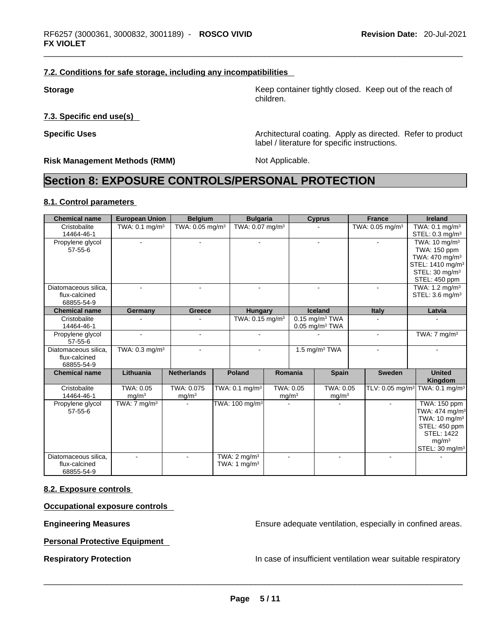#### **7.2. Conditions for safe storage, including any incompatibilities**

**7.3. Specific end use(s)** 

**Risk Management Methods (RMM)** Not Applicable.

**Storage Storage Keep container tightly closed. Keep out of the reach of the reach of** children.

**Specific Uses Architectural coating. Apply as directed. Refer to product Specific Uses** label / literature for specific instructions.

## **Section 8: EXPOSURE CONTROLS/PERSONAL PROTECTION**

#### **8.1. Control parameters**

| <b>Chemical name</b>                                | <b>European Union</b>          | <b>Belgium</b>                  | <b>Bulgaria</b>                           |                   |                | <b>Cyprus</b>                                                | <b>France</b>               | <b>Ireland</b>                                                                                                                                                          |
|-----------------------------------------------------|--------------------------------|---------------------------------|-------------------------------------------|-------------------|----------------|--------------------------------------------------------------|-----------------------------|-------------------------------------------------------------------------------------------------------------------------------------------------------------------------|
| Cristobalite<br>14464-46-1                          | TWA: 0.1 mg/m <sup>3</sup>     | TWA: $0.05 \text{ mg/m}^3$      | TWA: 0.07 mg/m <sup>3</sup>               |                   |                |                                                              | TWA: 0.05 mg/m <sup>3</sup> | TWA: $0.1 \text{ mg/m}^3$<br>STEL: $0.3 \text{ mg/m}^3$                                                                                                                 |
| Propylene glycol<br>$57 - 55 - 6$                   |                                |                                 |                                           |                   |                | $\blacksquare$                                               |                             | TWA: $10 \text{ ma/m}^3$<br>TWA: 150 ppm                                                                                                                                |
|                                                     |                                |                                 |                                           |                   |                |                                                              |                             | TWA: 470 mg/m <sup>3</sup><br>STEL: 1410 mg/m <sup>3</sup>                                                                                                              |
|                                                     |                                |                                 |                                           |                   |                |                                                              |                             | STEL: 30 mg/m <sup>3</sup>                                                                                                                                              |
| Diatomaceous silica.                                |                                | ÷                               | $\overline{\phantom{a}}$                  |                   |                | $\blacksquare$                                               |                             | STEL: 450 ppm<br>TWA: 1.2 mg/m <sup>3</sup>                                                                                                                             |
| flux-calcined<br>68855-54-9                         |                                |                                 |                                           |                   |                |                                                              |                             | STEL: 3.6 mg/m <sup>3</sup>                                                                                                                                             |
| <b>Chemical name</b>                                | Germany                        | <b>Greece</b>                   | <b>Hungary</b>                            |                   |                | <b>Iceland</b>                                               | <b>Italy</b>                | Latvia                                                                                                                                                                  |
| Cristobalite<br>14464-46-1                          |                                |                                 | TWA: $0.15 \text{ mg/m}^3$                |                   |                | $0.15$ mg/m <sup>3</sup> TWA<br>$0.05$ mg/m <sup>3</sup> TWA |                             |                                                                                                                                                                         |
| Propylene glycol<br>$57 - 55 - 6$                   |                                |                                 |                                           |                   |                |                                                              |                             | TWA: $7 \text{ mg/m}^3$                                                                                                                                                 |
| Diatomaceous silica.<br>flux-calcined<br>68855-54-9 | TWA: 0.3 mg/m <sup>3</sup>     |                                 |                                           |                   |                | 1.5 mg/m $3$ TWA                                             |                             |                                                                                                                                                                         |
| <b>Chemical name</b>                                | Lithuania                      | <b>Netherlands</b>              | <b>Poland</b>                             |                   | Romania        | <b>Spain</b>                                                 | <b>Sweden</b>               | <b>United</b><br>Kingdom                                                                                                                                                |
| Cristobalite<br>14464-46-1                          | TWA: 0.05<br>mq/m <sup>3</sup> | TWA: 0.075<br>mg/m <sup>3</sup> | TWA: $0.1$ mg/m <sup>3</sup>              | mg/m <sup>3</sup> | TWA: 0.05      | TWA: 0.05<br>mg/m <sup>3</sup>                               | TLV: 0.05 mg/m <sup>3</sup> | TWA: 0.1 mg/m <sup>3</sup>                                                                                                                                              |
| Propylene glycol<br>$57 - 55 - 6$                   | TWA: $7 \text{ mg/m}^3$        |                                 | TWA: 100 mg/m <sup>3</sup>                |                   |                |                                                              |                             | <b>TWA: 150 ppm</b><br>TWA: 474 mg/m <sup>3</sup><br>TWA: 10 mg/m <sup>3</sup><br>STEL: 450 ppm<br><b>STEL: 1422</b><br>mq/m <sup>3</sup><br>STEL: 30 mg/m <sup>3</sup> |
| Diatomaceous silica.<br>flux-calcined<br>68855-54-9 |                                |                                 | TWA: $2 \text{ mg/m}^3$<br>TWA: 1 $mq/m3$ |                   | $\overline{a}$ |                                                              |                             |                                                                                                                                                                         |

#### **8.2. Exposure controls**

**Occupational exposure controls** 

**Engineering Measures Ensure 2018** Ensure adequate ventilation, especially in confined areas.

**Personal Protective Equipment** 

**Respiratory Protection In case of insufficient ventilation wear suitable respiratory**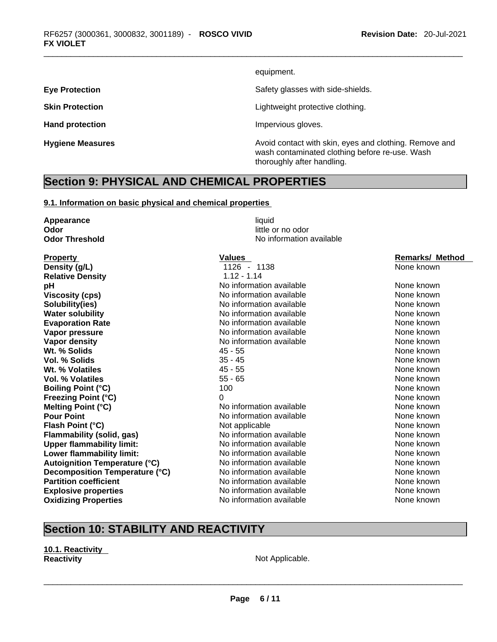equipment.

**Eye Protection Eye Protection Safety glasses with side-shields.** 

**Skin Protection Contract Contract Contract Contract Contract Contract Contract Contract Contract Contract Contract Contract Contract Contract Contract Contract Contract Contract Contract Contract Contract Contract Contr** 

Hand protection **Impervious** gloves.

**Hygiene Measures Avoid contact with skin, eyes and clothing. Remove and Hygiene Measures Avoid contact with skin, eyes and clothing. Remove and** wash contaminated clothing before re-use. Wash thoroughly after handling.

## **Section 9: PHYSICAL AND CHEMICAL PROPERTIES**

#### **9.1. Information on basic physical and chemical properties**

| Appearance                           | liquid                   |                        |
|--------------------------------------|--------------------------|------------------------|
| Odor                                 | little or no odor        |                        |
| <b>Odor Threshold</b>                | No information available |                        |
| <b>Property</b>                      | <b>Values</b>            | <b>Remarks/ Method</b> |
| Density (g/L)                        | 1126 - 1138              | None known             |
| <b>Relative Density</b>              | $1.12 - 1.14$            |                        |
| рH                                   | No information available | None known             |
| <b>Viscosity (cps)</b>               | No information available | None known             |
| Solubility(ies)                      | No information available | None known             |
| <b>Water solubility</b>              | No information available | None known             |
| <b>Evaporation Rate</b>              | No information available | None known             |
| Vapor pressure                       | No information available | None known             |
| Vapor density                        | No information available | None known             |
| Wt. % Solids                         | $45 - 55$                | None known             |
| <b>Vol. % Solids</b>                 | $35 - 45$                | None known             |
| Wt. % Volatiles                      | $45 - 55$                | None known             |
| <b>Vol. % Volatiles</b>              | $55 - 65$                | None known             |
| <b>Boiling Point (°C)</b>            | 100                      | None known             |
| <b>Freezing Point (°C)</b>           | 0                        | None known             |
| Melting Point (°C)                   | No information available | None known             |
| <b>Pour Point</b>                    | No information available | None known             |
| Flash Point (°C)                     | Not applicable           | None known             |
| Flammability (solid, gas)            | No information available | None known             |
| <b>Upper flammability limit:</b>     | No information available | None known             |
| Lower flammability limit:            | No information available | None known             |
| <b>Autoignition Temperature (°C)</b> | No information available | None known             |
| Decomposition Temperature (°C)       | No information available | None known             |
| <b>Partition coefficient</b>         | No information available | None known             |
| <b>Explosive properties</b>          | No information available | None known             |
| <b>Oxidizing Properties</b>          | No information available | None known             |
|                                      |                          |                        |

## **Section 10: STABILITY AND REACTIVITY**

#### **10.1. Reactivity Reactivity Not Applicable. Not Applicable.**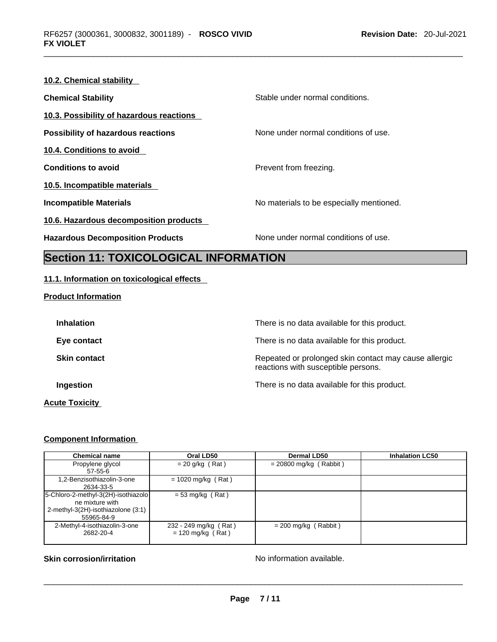## **10.2. Chemical stability Chemical Stability Chemical Stability** Stable under normal conditions. **10.3. Possibility of hazardous reactions Possibility of hazardous reactions** None under normal conditions of use. **10.4. Conditions to avoid Conditions to avoid Prevent from freezing. 10.5. Incompatible materials Incompatible Materials No materials** No materials to be especially mentioned. **10.6. Hazardous decomposition products Hazardous Decomposition Products** None under normal conditions of use.

## **Section 11: TOXICOLOGICAL INFORMATION**

#### **11.1. Information on toxicological effects**

| <b>Product Information</b> |  |
|----------------------------|--|
|----------------------------|--|

| <b>Inhalation</b>   | There is no data available for this product.                                                 |
|---------------------|----------------------------------------------------------------------------------------------|
| Eye contact         | There is no data available for this product.                                                 |
| <b>Skin contact</b> | Repeated or prolonged skin contact may cause allergic<br>reactions with susceptible persons. |
| Ingestion           | There is no data available for this product.                                                 |
|                     |                                                                                              |

#### **Acute Toxicity**

### **Component Information**

| <b>Chemical name</b>                                                                                       | Oral LD50                                    | <b>Dermal LD50</b>       | <b>Inhalation LC50</b> |
|------------------------------------------------------------------------------------------------------------|----------------------------------------------|--------------------------|------------------------|
| Propylene glycol<br>57-55-6                                                                                | $= 20$ g/kg (Rat)                            | $= 20800$ mg/kg (Rabbit) |                        |
| 1,2-Benzisothiazolin-3-one<br>2634-33-5                                                                    | $= 1020$ mg/kg (Rat)                         |                          |                        |
| 5-Chloro-2-methyl-3(2H)-isothiazolo<br>ne mixture with<br>2-methyl-3(2H)-isothiazolone (3:1)<br>55965-84-9 | $= 53$ mg/kg (Rat)                           |                          |                        |
| 2-Methyl-4-isothiazolin-3-one<br>2682-20-4                                                                 | 232 - 249 mg/kg (Rat)<br>$= 120$ mg/kg (Rat) | $= 200$ mg/kg (Rabbit)   |                        |

# **Skin corrosion/irritation** No information available. \_\_\_\_\_\_\_\_\_\_\_\_\_\_\_\_\_\_\_\_\_\_\_\_\_\_\_\_\_\_\_\_\_\_\_\_\_\_\_\_\_\_\_\_\_\_\_\_\_\_\_\_\_\_\_\_\_\_\_\_\_\_\_\_\_\_\_\_\_\_\_\_\_\_\_\_\_\_\_\_\_\_\_\_\_\_\_\_\_\_\_\_\_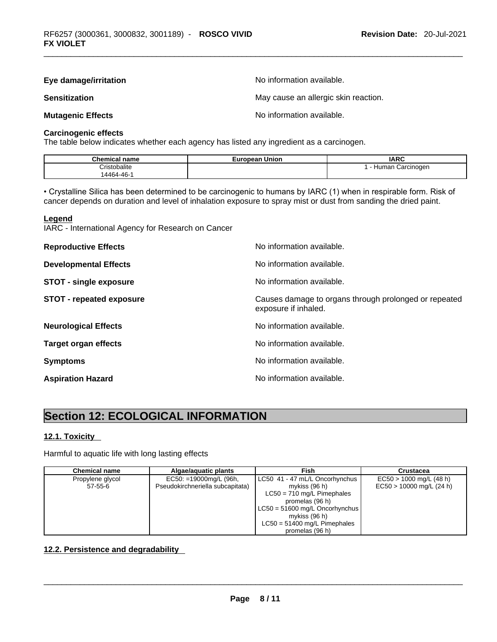| Eye damage/irritation    | No information available.            |
|--------------------------|--------------------------------------|
| <b>Sensitization</b>     | May cause an allergic skin reaction. |
| <b>Mutagenic Effects</b> | No information available.            |

### **Carcinogenic effects**

The table below indicates whether each agency has listed any ingredient as a carcinogen.

| <b>Chemical</b><br>name | Union<br>uronean<br>–ur∗ | <b>IARC</b>                           |
|-------------------------|--------------------------|---------------------------------------|
| `ristobalite            |                          | Carcinogen<br><b>lumar</b><br>$\cdot$ |
| AAGA<br>.46-            |                          |                                       |

• Crystalline Silica has been determined to be carcinogenic to humans by IARC (1) when in respirable form. Risk of cancer depends on duration and level of inhalation exposure to spray mist or dust from sanding the dried paint.

#### **Legend**

IARC - International Agency for Research on Cancer

| <b>Reproductive Effects</b>     | No information available.                                                     |
|---------------------------------|-------------------------------------------------------------------------------|
| <b>Developmental Effects</b>    | No information available.                                                     |
| <b>STOT - single exposure</b>   | No information available.                                                     |
| <b>STOT - repeated exposure</b> | Causes damage to organs through prolonged or repeated<br>exposure if inhaled. |
| <b>Neurological Effects</b>     | No information available.                                                     |
| <b>Target organ effects</b>     | No information available.                                                     |
| <b>Symptoms</b>                 | No information available.                                                     |
| <b>Aspiration Hazard</b>        | No information available.                                                     |

## **Section 12: ECOLOGICAL INFORMATION**

#### **12.1. Toxicity**

Harmful to aquatic life with long lasting effects

| <b>Chemical name</b> | Algae/aguatic plants             | Fish                             | <b>Crustacea</b>           |
|----------------------|----------------------------------|----------------------------------|----------------------------|
| Propylene glycol     | $EC50: = 19000mg/L$ (96h,        | LC50 41 - 47 mL/L Oncorhynchus   | $EC50 > 1000$ mg/L (48 h)  |
| 57-55-6              | Pseudokirchneriella subcapitata) | mykiss (96 h)                    | $EC50 > 10000$ mg/L (24 h) |
|                      |                                  | $LC50 = 710$ mg/L Pimephales     |                            |
|                      |                                  | promelas (96 h)                  |                            |
|                      |                                  | $LC50 = 51600$ mg/L Oncorhynchus |                            |
|                      |                                  | mykiss $(96 h)$                  |                            |
|                      |                                  | $LC50 = 51400$ mg/L Pimephales   |                            |
|                      |                                  | promelas (96 h)                  |                            |

#### **12.2. Persistence and degradability**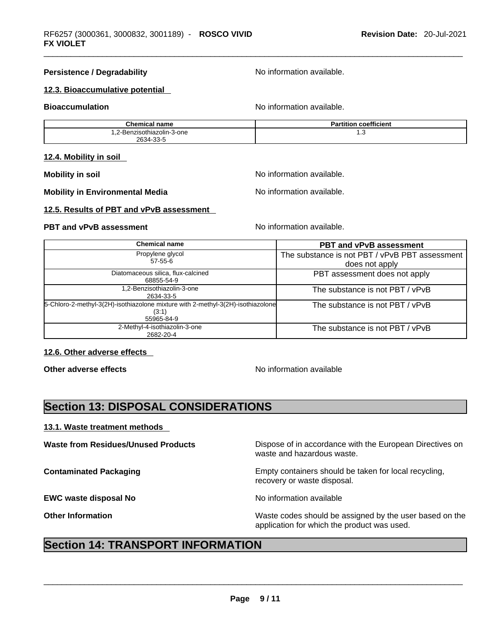#### **Persistence / Degradability** No information available.

#### **12.3. Bioaccumulative potential**

**Bioaccumulation No information available.** No information available.

| <b>Chemical name</b>       | <b>Partition coefficient</b> |
|----------------------------|------------------------------|
| 1.2-Benzisothiazolin-3-one | ن. ا                         |
| 2634-33-5                  |                              |

#### **12.4. Mobility in soil**

**Mobility in Environmental Media** Noinformation available.

**Mobility** in soil **Mobility** in soil

#### **12.5. Results of PBT and vPvB assessment**

#### **PBT** and **vPvB** assessment **Notify Apple 2012** No information available.

| <b>Chemical name</b>                                                                                   | <b>PBT and vPvB assessment</b>                                   |
|--------------------------------------------------------------------------------------------------------|------------------------------------------------------------------|
| Propylene glycol<br>$57 - 55 - 6$                                                                      | The substance is not PBT / vPvB PBT assessment<br>does not apply |
| Diatomaceous silica, flux-calcined<br>68855-54-9                                                       | PBT assessment does not apply                                    |
| 1,2-Benzisothiazolin-3-one<br>2634-33-5                                                                | The substance is not PBT / vPvB                                  |
| 5-Chloro-2-methyl-3(2H)-isothiazolone mixture with 2-methyl-3(2H)-isothiazolone<br>(3:1)<br>55965-84-9 | The substance is not PBT / vPvB                                  |
| 2-Methyl-4-isothiazolin-3-one<br>2682-20-4                                                             | The substance is not PBT / vPvB                                  |

#### **12.6. Other adverse effects**

**Other adverse effects No information available No information available** 

## **Section 13: DISPOSAL CONSIDERATIONS**

#### **13.1. Waste treatment methods**

**EWC waste disposal No**  No **No information available** 

**Waste from Residues/Unused Products** Dispose of in accordance with the European Directives on waste and hazardous waste.

**Contaminated Packaging <b>Empty Containers** should be taken for local recycling, recovery or waste disposal.

**Other Information** Waste codes should be assigned by the user based on the application for which the product was used.

## **Section 14: TRANSPORT INFORMATION**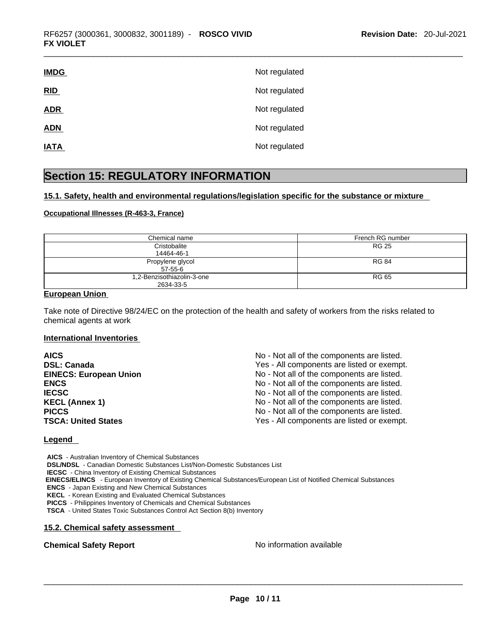| <b>IMDG</b> | Not regulated |
|-------------|---------------|
| RID         | Not regulated |
| <b>ADR</b>  | Not regulated |
| <b>ADN</b>  | Not regulated |
| <b>IATA</b> | Not regulated |

## **Section 15: REGULATORY INFORMATION**

#### **15.1. Safety, health and environmental regulations/legislation specific for the substance or mixture**

#### **Occupational Illnesses (R-463-3, France)**

| Chemical name              | French RG number |
|----------------------------|------------------|
| Cristobalite               | <b>RG 25</b>     |
| 14464-46-1                 |                  |
| Propylene glycol           | <b>RG 84</b>     |
| $57 - 55 - 6$              |                  |
| 1,2-Benzisothiazolin-3-one | <b>RG 65</b>     |
| 2634-33-5                  |                  |

#### **European Union**

Take note of Directive 98/24/EC on the protection of the health and safety of workers from the risks related to chemical agents at work

#### **International Inventories**

| <b>AICS</b>                   | No - Not all of the components are listed. |
|-------------------------------|--------------------------------------------|
| <b>DSL: Canada</b>            | Yes - All components are listed or exempt. |
| <b>EINECS: European Union</b> | No - Not all of the components are listed. |
| <b>ENCS</b>                   | No - Not all of the components are listed. |
| <b>IECSC</b>                  | No - Not all of the components are listed. |
| <b>KECL (Annex 1)</b>         | No - Not all of the components are listed. |
| <b>PICCS</b>                  | No - Not all of the components are listed. |
| <b>TSCA: United States</b>    | Yes - All components are listed or exempt. |

#### **Legend**

**AICS** - Australian Inventory of Chemical Substances **DSL/NDSL** - Canadian Domestic Substances List/Non-Domestic Substances List **IECSC** - China Inventory of Existing Chemical Substances  **EINECS/ELINCS** - European Inventory of Existing Chemical Substances/European List of Notified Chemical Substances **ENCS** - Japan Existing and New Chemical Substances **KECL** - Korean Existing and Evaluated Chemical Substances **PICCS** - Philippines Inventory of Chemicals and Chemical Substances

**TSCA** - United States Toxic Substances Control Act Section 8(b) Inventory

#### **15.2. Chemical safety assessment**

**Chemical Safety Report** No information available \_\_\_\_\_\_\_\_\_\_\_\_\_\_\_\_\_\_\_\_\_\_\_\_\_\_\_\_\_\_\_\_\_\_\_\_\_\_\_\_\_\_\_\_\_\_\_\_\_\_\_\_\_\_\_\_\_\_\_\_\_\_\_\_\_\_\_\_\_\_\_\_\_\_\_\_\_\_\_\_\_\_\_\_\_\_\_\_\_\_\_\_\_